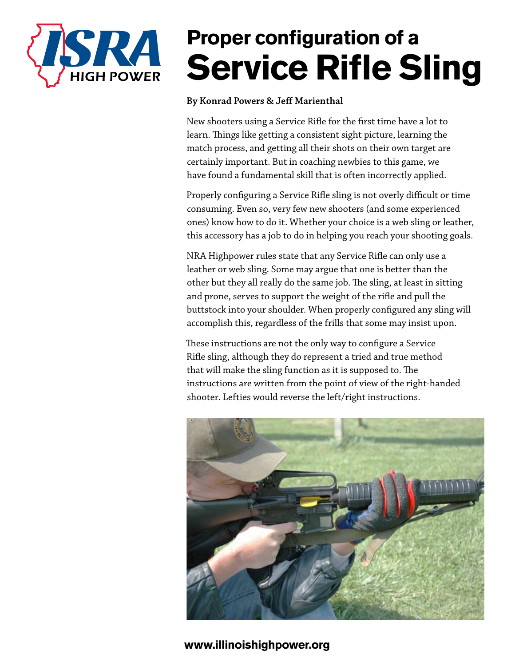

# **Proper configuration of a Service Rifle Sling**

#### **By Konrad Powers & Jeff Marienthal**

New shooters using a Service Rifle for the first time have a lot to learn. Things like getting a consistent sight picture, learning the match process, and getting all their shots on their own target are certainly important. But in coaching newbies to this game, we have found a fundamental skill that is often incorrectly applied.

Properly configuring a Service Rifle sling is not overly difficult or time consuming. Even so, very few new shooters (and some experienced ones) know how to do it. Whether your choice is a web sling or leather, this accessory has a job to do in helping you reach your shooting goals.

NRA Highpower rules state that any Service Rifle can only use a leather or web sling. Some may argue that one is better than the other but they all really do the same job. The sling, at least in sitting and prone, serves to support the weight of the rifle and pull the buttstock into your shoulder. When properly configured any sling will accomplish this, regardless of the frills that some may insist upon.

These instructions are not the only way to configure a Service Rifle sling, although they do represent a tried and true method that will make the sling function as it is supposed to. The instructions are written from the point of view of the right-handed shooter. Lefties would reverse the left/right instructions.

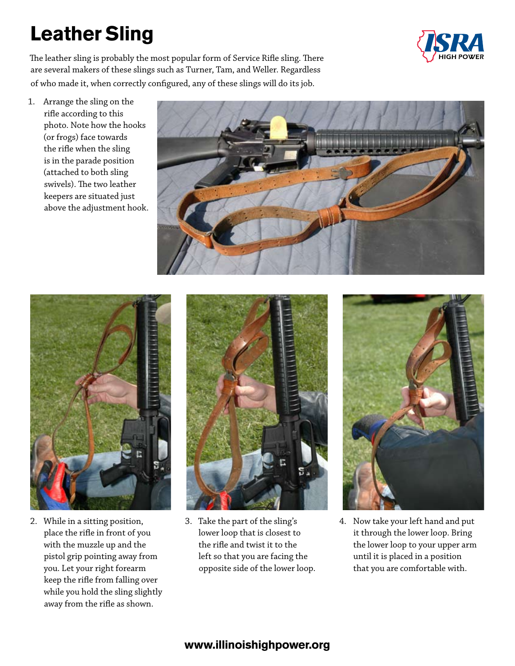# **Leather Sling**



The leather sling is probably the most popular form of Service Rifle sling. There are several makers of these slings such as Turner, Tam, and Weller. Regardless of who made it, when correctly configured, any of these slings will do its job.

1. Arrange the sling on the rifle according to this photo. Note how the hooks (or frogs) face towards the rifle when the sling is in the parade position (attached to both sling swivels). The two leather keepers are situated just above the adjustment hook.





2. While in a sitting position, place the rifle in front of you with the muzzle up and the pistol grip pointing away from you. Let your right forearm keep the rifle from falling over while you hold the sling slightly away from the rifle as shown.



3. Take the part of the sling's lower loop that is closest to the rifle and twist it to the left so that you are facing the opposite side of the lower loop.



4. Now take your left hand and put it through the lower loop. Bring the lower loop to your upper arm until it is placed in a position that you are comfortable with.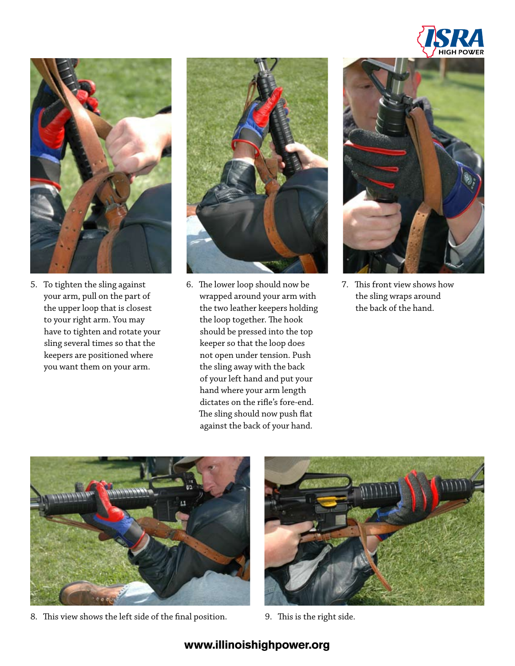



5. To tighten the sling against your arm, pull on the part of the upper loop that is closest to your right arm. You may have to tighten and rotate your sling several times so that the keepers are positioned where you want them on your arm.



6. The lower loop should now be wrapped around your arm with the two leather keepers holding the loop together. The hook should be pressed into the top keeper so that the loop does not open under tension. Push the sling away with the back of your left hand and put your hand where your arm length dictates on the rifle's fore-end. The sling should now push flat against the back of your hand.



7. This front view shows how the sling wraps around the back of the hand.



8. This view shows the left side of the final position. 9. This is the right side.

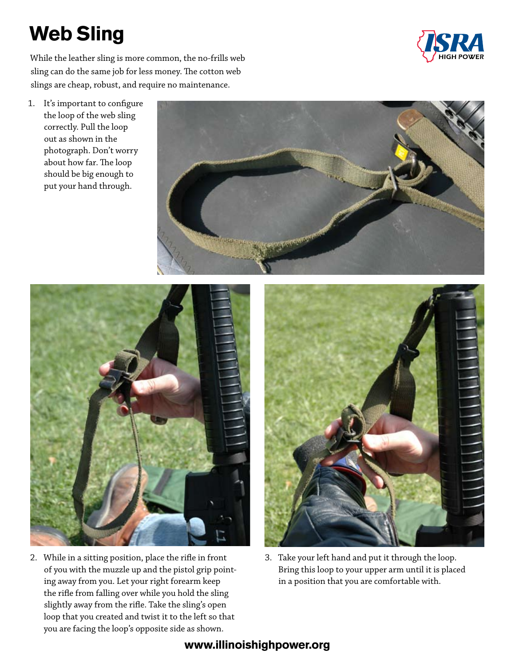# **Web Sling**



While the leather sling is more common, the no-frills web sling can do the same job for less money. The cotton web slings are cheap, robust, and require no maintenance.

1. It's important to configure the loop of the web sling correctly. Pull the loop out as shown in the photograph. Don't worry about how far. The loop should be big enough to put your hand through.



2. While in a sitting position, place the rifle in front of you with the muzzle up and the pistol grip pointing away from you. Let your right forearm keep the rifle from falling over while you hold the sling slightly away from the rifle. Take the sling's open loop that you created and twist it to the left so that you are facing the loop's opposite side as shown.



3. Take your left hand and put it through the loop. Bring this loop to your upper arm until it is placed in a position that you are comfortable with.